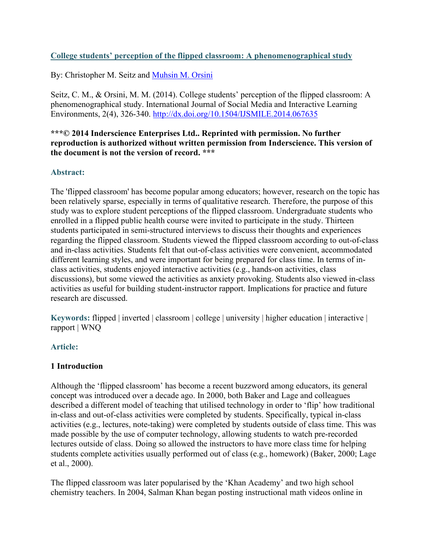# **College students' perception of the flipped classroom: A phenomenographical study**

By: Christopher M. Seitz and [Muhsin M. Orsini](http://libres.uncg.edu/ir/uncg/clist.aspx?id=1563)

Seitz, C. M., & Orsini, M. M. (2014). College students' perception of the flipped classroom: A phenomenographical study. International Journal of Social Media and Interactive Learning Environments, 2(4), 326-340. <http://dx.doi.org/10.1504/IJSMILE.2014.067635>

#### **\*\*\*© 2014 Inderscience Enterprises Ltd.. Reprinted with permission. No further reproduction is authorized without written permission from Inderscience. This version of the document is not the version of record. \*\*\***

# **Abstract:**

The 'flipped classroom' has become popular among educators; however, research on the topic has been relatively sparse, especially in terms of qualitative research. Therefore, the purpose of this study was to explore student perceptions of the flipped classroom. Undergraduate students who enrolled in a flipped public health course were invited to participate in the study. Thirteen students participated in semi-structured interviews to discuss their thoughts and experiences regarding the flipped classroom. Students viewed the flipped classroom according to out-of-class and in-class activities. Students felt that out-of-class activities were convenient, accommodated different learning styles, and were important for being prepared for class time. In terms of inclass activities, students enjoyed interactive activities (e.g., hands-on activities, class discussions), but some viewed the activities as anxiety provoking. Students also viewed in-class activities as useful for building student-instructor rapport. Implications for practice and future research are discussed.

**Keywords:** flipped | inverted | classroom | college | university | higher education | interactive | rapport | WNQ

# **Article:**

# **1 Introduction**

Although the 'flipped classroom' has become a recent buzzword among educators, its general concept was introduced over a decade ago. In 2000, both Baker and Lage and colleagues described a different model of teaching that utilised technology in order to 'flip' how traditional in-class and out-of-class activities were completed by students. Specifically, typical in-class activities (e.g., lectures, note-taking) were completed by students outside of class time. This was made possible by the use of computer technology, allowing students to watch pre-recorded lectures outside of class. Doing so allowed the instructors to have more class time for helping students complete activities usually performed out of class (e.g., homework) (Baker, 2000; Lage et al., 2000).

The flipped classroom was later popularised by the 'Khan Academy' and two high school chemistry teachers. In 2004, Salman Khan began posting instructional math videos online in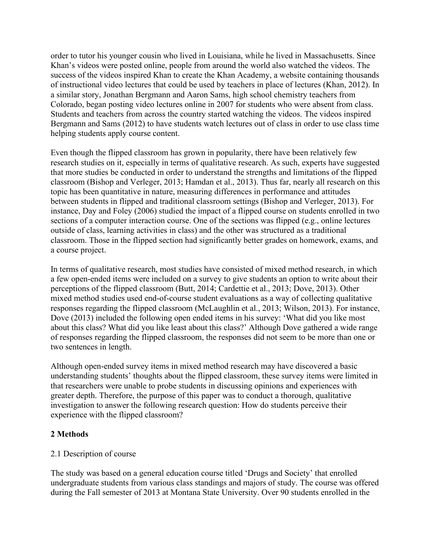order to tutor his younger cousin who lived in Louisiana, while he lived in Massachusetts. Since Khan's videos were posted online, people from around the world also watched the videos. The success of the videos inspired Khan to create the Khan Academy, a website containing thousands of instructional video lectures that could be used by teachers in place of lectures (Khan, 2012). In a similar story, Jonathan Bergmann and Aaron Sams, high school chemistry teachers from Colorado, began posting video lectures online in 2007 for students who were absent from class. Students and teachers from across the country started watching the videos. The videos inspired Bergmann and Sams (2012) to have students watch lectures out of class in order to use class time helping students apply course content.

Even though the flipped classroom has grown in popularity, there have been relatively few research studies on it, especially in terms of qualitative research. As such, experts have suggested that more studies be conducted in order to understand the strengths and limitations of the flipped classroom (Bishop and Verleger, 2013; Hamdan et al., 2013). Thus far, nearly all research on this topic has been quantitative in nature, measuring differences in performance and attitudes between students in flipped and traditional classroom settings (Bishop and Verleger, 2013). For instance, Day and Foley (2006) studied the impact of a flipped course on students enrolled in two sections of a computer interaction course. One of the sections was flipped (e.g., online lectures outside of class, learning activities in class) and the other was structured as a traditional classroom. Those in the flipped section had significantly better grades on homework, exams, and a course project.

In terms of qualitative research, most studies have consisted of mixed method research, in which a few open-ended items were included on a survey to give students an option to write about their perceptions of the flipped classroom (Butt, 2014; Cardettie et al., 2013; Dove, 2013). Other mixed method studies used end-of-course student evaluations as a way of collecting qualitative responses regarding the flipped classroom (McLaughlin et al., 2013; Wilson, 2013). For instance, Dove (2013) included the following open ended items in his survey: 'What did you like most about this class? What did you like least about this class?' Although Dove gathered a wide range of responses regarding the flipped classroom, the responses did not seem to be more than one or two sentences in length.

Although open-ended survey items in mixed method research may have discovered a basic understanding students' thoughts about the flipped classroom, these survey items were limited in that researchers were unable to probe students in discussing opinions and experiences with greater depth. Therefore, the purpose of this paper was to conduct a thorough, qualitative investigation to answer the following research question: How do students perceive their experience with the flipped classroom?

# **2 Methods**

# 2.1 Description of course

The study was based on a general education course titled 'Drugs and Society' that enrolled undergraduate students from various class standings and majors of study. The course was offered during the Fall semester of 2013 at Montana State University. Over 90 students enrolled in the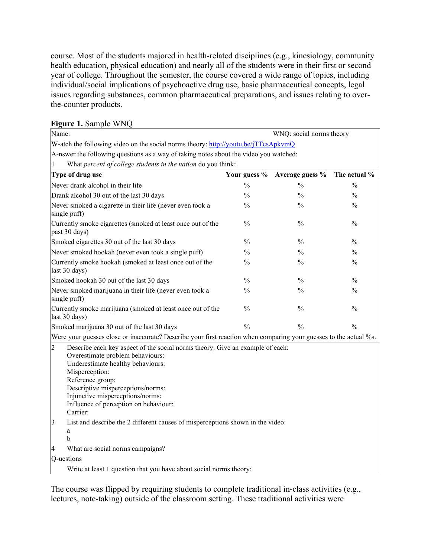course. Most of the students majored in health-related disciplines (e.g., kinesiology, community health education, physical education) and nearly all of the students were in their first or second year of college. Throughout the semester, the course covered a wide range of topics, including individual/social implications of psychoactive drug use, basic pharmaceutical concepts, legal issues regarding substances, common pharmaceutical preparations, and issues relating to overthe-counter products.

| Name:                                                                                                                                                                                                                                                                                                                                        | WNQ: social norms theory |                 |               |
|----------------------------------------------------------------------------------------------------------------------------------------------------------------------------------------------------------------------------------------------------------------------------------------------------------------------------------------------|--------------------------|-----------------|---------------|
| W-atch the following video on the social norms theory: http://youtu.be/jTTcsApkvmQ                                                                                                                                                                                                                                                           |                          |                 |               |
| A-nswer the following questions as a way of taking notes about the video you watched:                                                                                                                                                                                                                                                        |                          |                 |               |
| What percent of college students in the nation do you think:                                                                                                                                                                                                                                                                                 |                          |                 |               |
| Type of drug use                                                                                                                                                                                                                                                                                                                             | Your guess %             | Average guess % | The actual %  |
| Never drank alcohol in their life                                                                                                                                                                                                                                                                                                            | $\frac{0}{0}$            | $\frac{0}{0}$   | $\frac{0}{0}$ |
| Drank alcohol 30 out of the last 30 days                                                                                                                                                                                                                                                                                                     | $\frac{0}{0}$            | $\frac{0}{0}$   | $\frac{0}{0}$ |
| Never smoked a cigarette in their life (never even took a<br>single puff)                                                                                                                                                                                                                                                                    | $\frac{0}{0}$            | $\frac{0}{0}$   | $\frac{0}{0}$ |
| Currently smoke cigarettes (smoked at least once out of the<br>past 30 days)                                                                                                                                                                                                                                                                 | $\frac{0}{0}$            | $\frac{0}{0}$   | $\%$          |
| Smoked cigarettes 30 out of the last 30 days                                                                                                                                                                                                                                                                                                 | $\frac{0}{0}$            | $\frac{0}{0}$   | $\%$          |
| Never smoked hookah (never even took a single puff)                                                                                                                                                                                                                                                                                          | $\frac{0}{0}$            | $\frac{0}{0}$   | $\frac{0}{0}$ |
| Currently smoke hookah (smoked at least once out of the<br>last 30 days)                                                                                                                                                                                                                                                                     | $\frac{0}{0}$            | $\frac{0}{0}$   | $\frac{0}{0}$ |
| Smoked hookah 30 out of the last 30 days                                                                                                                                                                                                                                                                                                     | $\frac{0}{0}$            | $\frac{0}{0}$   | $\frac{0}{0}$ |
| Never smoked marijuana in their life (never even took a<br>single puff)                                                                                                                                                                                                                                                                      | $\frac{0}{0}$            | $\frac{0}{0}$   | $\frac{0}{0}$ |
| Currently smoke marijuana (smoked at least once out of the<br>last 30 days)                                                                                                                                                                                                                                                                  | $\frac{0}{0}$            | $\frac{0}{0}$   | $\frac{0}{0}$ |
| Smoked marijuana 30 out of the last 30 days                                                                                                                                                                                                                                                                                                  | $\frac{0}{0}$            | $\frac{0}{0}$   | $\frac{0}{0}$ |
| Were your guesses close or inaccurate? Describe your first reaction when comparing your guesses to the actual %s.                                                                                                                                                                                                                            |                          |                 |               |
| $\overline{c}$<br>Describe each key aspect of the social norms theory. Give an example of each:<br>Overestimate problem behaviours:<br>Underestimate healthy behaviours:<br>Misperception:<br>Reference group:<br>Descriptive misperceptions/norms:<br>Injunctive misperceptions/norms:<br>Influence of perception on behaviour:<br>Carrier: |                          |                 |               |
| 3<br>List and describe the 2 different causes of misperceptions shown in the video:<br>a<br>h                                                                                                                                                                                                                                                |                          |                 |               |
| What are social norms campaigns?<br>4                                                                                                                                                                                                                                                                                                        |                          |                 |               |
| Q-uestions                                                                                                                                                                                                                                                                                                                                   |                          |                 |               |
| Write at least 1 question that you have about social norms theory:                                                                                                                                                                                                                                                                           |                          |                 |               |

#### **Figure 1.** Sample WNQ

The course was flipped by requiring students to complete traditional in-class activities (e.g., lectures, note-taking) outside of the classroom setting. These traditional activities were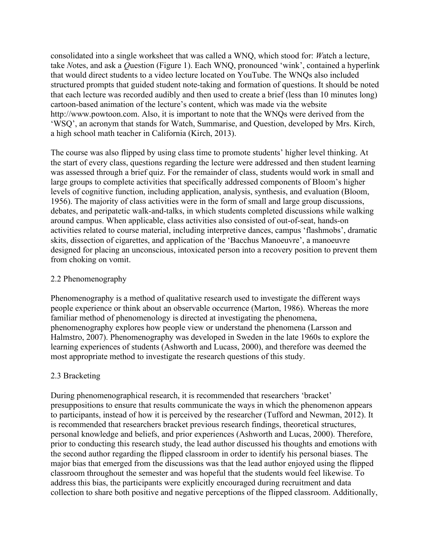consolidated into a single worksheet that was called a WNQ, which stood for: *W*atch a lecture, take *N*otes, and ask a *Q*uestion (Figure 1). Each WNQ, pronounced 'wink', contained a hyperlink that would direct students to a video lecture located on YouTube. The WNQs also included structured prompts that guided student note-taking and formation of questions. It should be noted that each lecture was recorded audibly and then used to create a brief (less than 10 minutes long) cartoon-based animation of the lecture's content, which was made via the website http://www.powtoon.com. Also, it is important to note that the WNQs were derived from the 'WSQ', an acronym that stands for Watch, Summarise, and Question, developed by Mrs. Kirch, a high school math teacher in California (Kirch, 2013).

The course was also flipped by using class time to promote students' higher level thinking. At the start of every class, questions regarding the lecture were addressed and then student learning was assessed through a brief quiz. For the remainder of class, students would work in small and large groups to complete activities that specifically addressed components of Bloom's higher levels of cognitive function, including application, analysis, synthesis, and evaluation (Bloom, 1956). The majority of class activities were in the form of small and large group discussions, debates, and peripatetic walk-and-talks, in which students completed discussions while walking around campus. When applicable, class activities also consisted of out-of-seat, hands-on activities related to course material, including interpretive dances, campus 'flashmobs', dramatic skits, dissection of cigarettes, and application of the 'Bacchus Manoeuvre', a manoeuvre designed for placing an unconscious, intoxicated person into a recovery position to prevent them from choking on vomit.

#### 2.2 Phenomenography

Phenomenography is a method of qualitative research used to investigate the different ways people experience or think about an observable occurrence (Marton, 1986). Whereas the more familiar method of phenomenology is directed at investigating the phenomena, phenomenography explores how people view or understand the phenomena (Larsson and Halmstro, 2007). Phenomenography was developed in Sweden in the late 1960s to explore the learning experiences of students (Ashworth and Lucass, 2000), and therefore was deemed the most appropriate method to investigate the research questions of this study.

# 2.3 Bracketing

During phenomenographical research, it is recommended that researchers 'bracket' presuppositions to ensure that results communicate the ways in which the phenomenon appears to participants, instead of how it is perceived by the researcher (Tufford and Newman, 2012). It is recommended that researchers bracket previous research findings, theoretical structures, personal knowledge and beliefs, and prior experiences (Ashworth and Lucas, 2000). Therefore, prior to conducting this research study, the lead author discussed his thoughts and emotions with the second author regarding the flipped classroom in order to identify his personal biases. The major bias that emerged from the discussions was that the lead author enjoyed using the flipped classroom throughout the semester and was hopeful that the students would feel likewise. To address this bias, the participants were explicitly encouraged during recruitment and data collection to share both positive and negative perceptions of the flipped classroom. Additionally,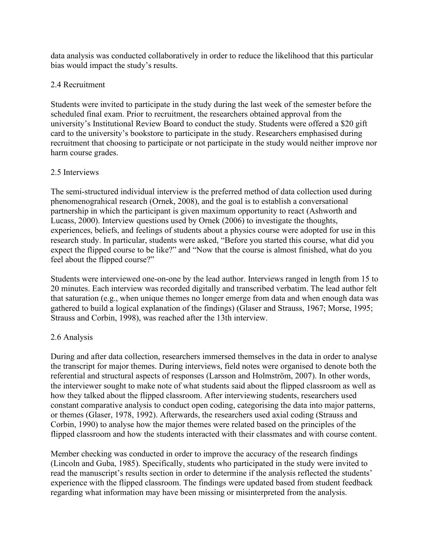data analysis was conducted collaboratively in order to reduce the likelihood that this particular bias would impact the study's results.

# 2.4 Recruitment

Students were invited to participate in the study during the last week of the semester before the scheduled final exam. Prior to recruitment, the researchers obtained approval from the university's Institutional Review Board to conduct the study. Students were offered a \$20 gift card to the university's bookstore to participate in the study. Researchers emphasised during recruitment that choosing to participate or not participate in the study would neither improve nor harm course grades.

# 2.5 Interviews

The semi-structured individual interview is the preferred method of data collection used during phenomenograhical research (Ornek, 2008), and the goal is to establish a conversational partnership in which the participant is given maximum opportunity to react (Ashworth and Lucass, 2000). Interview questions used by Ornek (2006) to investigate the thoughts, experiences, beliefs, and feelings of students about a physics course were adopted for use in this research study. In particular, students were asked, "Before you started this course, what did you expect the flipped course to be like?" and "Now that the course is almost finished, what do you feel about the flipped course?"

Students were interviewed one-on-one by the lead author. Interviews ranged in length from 15 to 20 minutes. Each interview was recorded digitally and transcribed verbatim. The lead author felt that saturation (e.g., when unique themes no longer emerge from data and when enough data was gathered to build a logical explanation of the findings) (Glaser and Strauss, 1967; Morse, 1995; Strauss and Corbin, 1998), was reached after the 13th interview.

# 2.6 Analysis

During and after data collection, researchers immersed themselves in the data in order to analyse the transcript for major themes. During interviews, field notes were organised to denote both the referential and structural aspects of responses (Larsson and Holmström, 2007). In other words, the interviewer sought to make note of what students said about the flipped classroom as well as how they talked about the flipped classroom. After interviewing students, researchers used constant comparative analysis to conduct open coding, categorising the data into major patterns, or themes (Glaser, 1978, 1992). Afterwards, the researchers used axial coding (Strauss and Corbin, 1990) to analyse how the major themes were related based on the principles of the flipped classroom and how the students interacted with their classmates and with course content.

Member checking was conducted in order to improve the accuracy of the research findings (Lincoln and Guba, 1985). Specifically, students who participated in the study were invited to read the manuscript's results section in order to determine if the analysis reflected the students' experience with the flipped classroom. The findings were updated based from student feedback regarding what information may have been missing or misinterpreted from the analysis.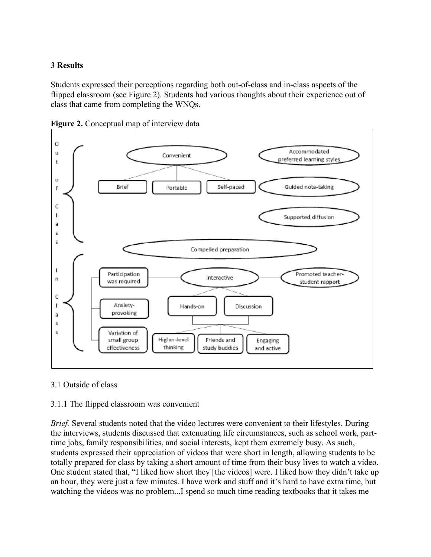# **3 Results**

Students expressed their perceptions regarding both out-of-class and in-class aspects of the flipped classroom (see Figure 2). Students had various thoughts about their experience out of class that came from completing the WNQs.





# 3.1 Outside of class

# 3.1.1 The flipped classroom was convenient

*Brief.* Several students noted that the video lectures were convenient to their lifestyles. During the interviews, students discussed that extenuating life circumstances, such as school work, parttime jobs, family responsibilities, and social interests, kept them extremely busy. As such, students expressed their appreciation of videos that were short in length, allowing students to be totally prepared for class by taking a short amount of time from their busy lives to watch a video. One student stated that, "I liked how short they [the videos] were. I liked how they didn't take up an hour, they were just a few minutes. I have work and stuff and it's hard to have extra time, but watching the videos was no problem...I spend so much time reading textbooks that it takes me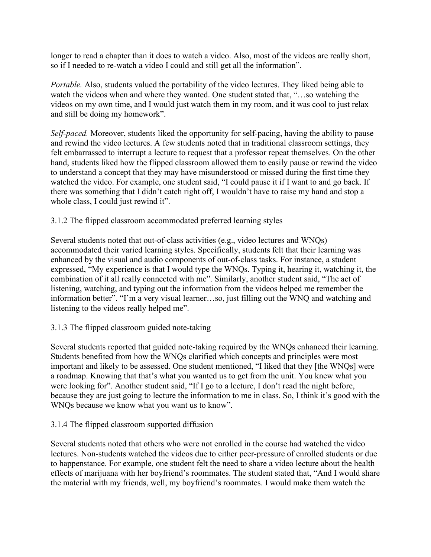longer to read a chapter than it does to watch a video. Also, most of the videos are really short, so if I needed to re-watch a video I could and still get all the information".

*Portable.* Also, students valued the portability of the video lectures. They liked being able to watch the videos when and where they wanted. One student stated that, "…so watching the videos on my own time, and I would just watch them in my room, and it was cool to just relax and still be doing my homework".

*Self-paced.* Moreover, students liked the opportunity for self-pacing, having the ability to pause and rewind the video lectures. A few students noted that in traditional classroom settings, they felt embarrassed to interrupt a lecture to request that a professor repeat themselves. On the other hand, students liked how the flipped classroom allowed them to easily pause or rewind the video to understand a concept that they may have misunderstood or missed during the first time they watched the video. For example, one student said, "I could pause it if I want to and go back. If there was something that I didn't catch right off, I wouldn't have to raise my hand and stop a whole class, I could just rewind it".

# 3.1.2 The flipped classroom accommodated preferred learning styles

Several students noted that out-of-class activities (e.g., video lectures and WNQs) accommodated their varied learning styles. Specifically, students felt that their learning was enhanced by the visual and audio components of out-of-class tasks. For instance, a student expressed, "My experience is that I would type the WNQs. Typing it, hearing it, watching it, the combination of it all really connected with me". Similarly, another student said, "The act of listening, watching, and typing out the information from the videos helped me remember the information better". "I'm a very visual learner…so, just filling out the WNQ and watching and listening to the videos really helped me".

# 3.1.3 The flipped classroom guided note-taking

Several students reported that guided note-taking required by the WNQs enhanced their learning. Students benefited from how the WNQs clarified which concepts and principles were most important and likely to be assessed. One student mentioned, "I liked that they [the WNQs] were a roadmap. Knowing that that's what you wanted us to get from the unit. You knew what you were looking for". Another student said, "If I go to a lecture, I don't read the night before, because they are just going to lecture the information to me in class. So, I think it's good with the WNQs because we know what you want us to know".

# 3.1.4 The flipped classroom supported diffusion

Several students noted that others who were not enrolled in the course had watched the video lectures. Non-students watched the videos due to either peer-pressure of enrolled students or due to happenstance. For example, one student felt the need to share a video lecture about the health effects of marijuana with her boyfriend's roommates. The student stated that, "And I would share the material with my friends, well, my boyfriend's roommates. I would make them watch the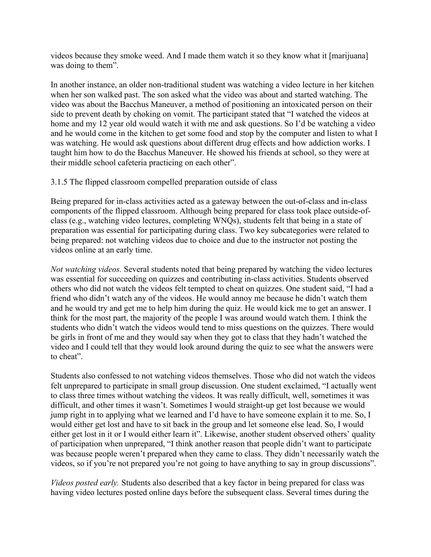videos because they smoke weed. And I made them watch it so they know what it [marijuana] was doing to them".

In another instance, an older non-traditional student was watching a video lecture in her kitchen when her son walked past. The son asked what the video was about and started watching. The video was about the Bacchus Maneuver, a method of positioning an intoxicated person on their side to prevent death by choking on vomit. The participant stated that "I watched the videos at home and my 12 year old would watch it with me and ask questions. So I'd be watching a video and he would come in the kitchen to get some food and stop by the computer and listen to what I was watching. He would ask questions about different drug effects and how addiction works. I taught him how to do the Bacchus Maneuver. He showed his friends at school, so they were at their middle school cafeteria practicing on each other".

# 3.1.5 The flipped classroom compelled preparation outside of class

Being prepared for in-class activities acted as a gateway between the out-of-class and in-class components of the flipped classroom. Although being prepared for class took place outside-ofclass (e.g., watching video lectures, completing WNQs), students felt that being in a state of preparation was essential for participating during class. Two key subcategories were related to being prepared: not watching videos due to choice and due to the instructor not posting the videos online at an early time.

*Not watching videos.* Several students noted that being prepared by watching the video lectures was essential for succeeding on quizzes and contributing in-class activities. Students observed others who did not watch the videos felt tempted to cheat on quizzes. One student said, "I had a friend who didn't watch any of the videos. He would annoy me because he didn't watch them and he would try and get me to help him during the quiz. He would kick me to get an answer. I think for the most part, the majority of the people I was around would watch them. I think the students who didn't watch the videos would tend to miss questions on the quizzes. There would be girls in front of me and they would say when they got to class that they hadn't watched the video and I could tell that they would look around during the quiz to see what the answers were to cheat".

Students also confessed to not watching videos themselves. Those who did not watch the videos felt unprepared to participate in small group discussion. One student exclaimed, "I actually went to class three times without watching the videos. It was really difficult, well, sometimes it was difficult, and other times it wasn't. Sometimes I would straight-up get lost because we would jump right in to applying what we learned and I'd have to have someone explain it to me. So, I would either get lost and have to sit back in the group and let someone else lead. So, I would either get lost in it or I would either learn it". Likewise, another student observed others' quality of participation when unprepared, "I think another reason that people didn't want to participate was because people weren't prepared when they came to class. They didn't necessarily watch the videos, so if you're not prepared you're not going to have anything to say in group discussions".

*Videos posted early.* Students also described that a key factor in being prepared for class was having video lectures posted online days before the subsequent class. Several times during the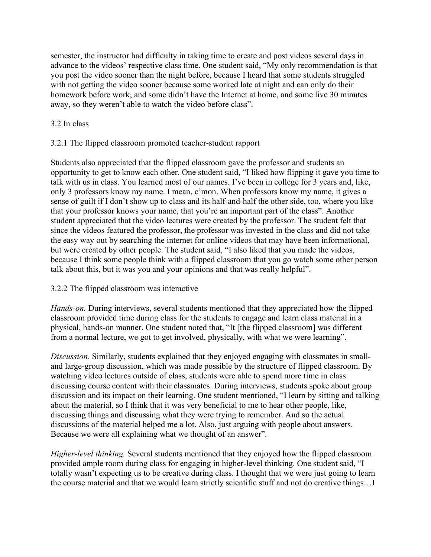semester, the instructor had difficulty in taking time to create and post videos several days in advance to the videos' respective class time. One student said, "My only recommendation is that you post the video sooner than the night before, because I heard that some students struggled with not getting the video sooner because some worked late at night and can only do their homework before work, and some didn't have the Internet at home, and some live 30 minutes away, so they weren't able to watch the video before class".

# 3.2 In class

#### 3.2.1 The flipped classroom promoted teacher-student rapport

Students also appreciated that the flipped classroom gave the professor and students an opportunity to get to know each other. One student said, "I liked how flipping it gave you time to talk with us in class. You learned most of our names. I've been in college for 3 years and, like, only 3 professors know my name. I mean, c'mon. When professors know my name, it gives a sense of guilt if I don't show up to class and its half-and-half the other side, too, where you like that your professor knows your name, that you're an important part of the class". Another student appreciated that the video lectures were created by the professor. The student felt that since the videos featured the professor, the professor was invested in the class and did not take the easy way out by searching the internet for online videos that may have been informational, but were created by other people. The student said, "I also liked that you made the videos, because I think some people think with a flipped classroom that you go watch some other person talk about this, but it was you and your opinions and that was really helpful".

#### 3.2.2 The flipped classroom was interactive

*Hands-on.* During interviews, several students mentioned that they appreciated how the flipped classroom provided time during class for the students to engage and learn class material in a physical, hands-on manner. One student noted that, "It [the flipped classroom] was different from a normal lecture, we got to get involved, physically, with what we were learning".

*Discussion.* Similarly, students explained that they enjoyed engaging with classmates in smalland large-group discussion, which was made possible by the structure of flipped classroom. By watching video lectures outside of class, students were able to spend more time in class discussing course content with their classmates. During interviews, students spoke about group discussion and its impact on their learning. One student mentioned, "I learn by sitting and talking about the material, so I think that it was very beneficial to me to hear other people, like, discussing things and discussing what they were trying to remember. And so the actual discussions of the material helped me a lot. Also, just arguing with people about answers. Because we were all explaining what we thought of an answer".

*Higher-level thinking.* Several students mentioned that they enjoyed how the flipped classroom provided ample room during class for engaging in higher-level thinking. One student said, "I totally wasn't expecting us to be creative during class. I thought that we were just going to learn the course material and that we would learn strictly scientific stuff and not do creative things…I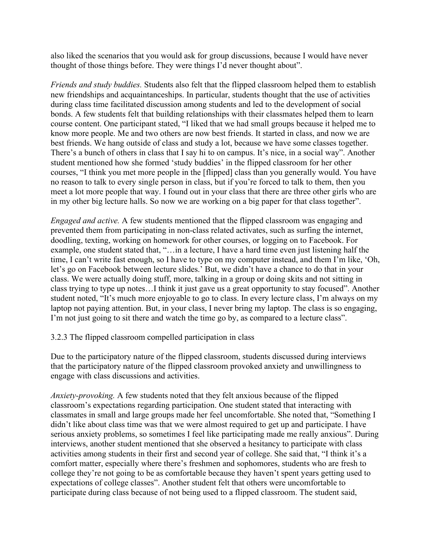also liked the scenarios that you would ask for group discussions, because I would have never thought of those things before. They were things I'd never thought about".

*Friends and study buddies.* Students also felt that the flipped classroom helped them to establish new friendships and acquaintanceships. In particular, students thought that the use of activities during class time facilitated discussion among students and led to the development of social bonds. A few students felt that building relationships with their classmates helped them to learn course content. One participant stated, "I liked that we had small groups because it helped me to know more people. Me and two others are now best friends. It started in class, and now we are best friends. We hang outside of class and study a lot, because we have some classes together. There's a bunch of others in class that I say hi to on campus. It's nice, in a social way". Another student mentioned how she formed 'study buddies' in the flipped classroom for her other courses, "I think you met more people in the [flipped] class than you generally would. You have no reason to talk to every single person in class, but if you're forced to talk to them, then you meet a lot more people that way. I found out in your class that there are three other girls who are in my other big lecture halls. So now we are working on a big paper for that class together".

*Engaged and active.* A few students mentioned that the flipped classroom was engaging and prevented them from participating in non-class related activates, such as surfing the internet, doodling, texting, working on homework for other courses, or logging on to Facebook. For example, one student stated that, "…in a lecture, I have a hard time even just listening half the time, I can't write fast enough, so I have to type on my computer instead, and them I'm like, 'Oh, let's go on Facebook between lecture slides.' But, we didn't have a chance to do that in your class. We were actually doing stuff, more, talking in a group or doing skits and not sitting in class trying to type up notes…I think it just gave us a great opportunity to stay focused". Another student noted, "It's much more enjoyable to go to class. In every lecture class, I'm always on my laptop not paying attention. But, in your class, I never bring my laptop. The class is so engaging, I'm not just going to sit there and watch the time go by, as compared to a lecture class".

#### 3.2.3 The flipped classroom compelled participation in class

Due to the participatory nature of the flipped classroom, students discussed during interviews that the participatory nature of the flipped classroom provoked anxiety and unwillingness to engage with class discussions and activities.

*Anxiety-provoking.* A few students noted that they felt anxious because of the flipped classroom's expectations regarding participation. One student stated that interacting with classmates in small and large groups made her feel uncomfortable. She noted that, "Something I didn't like about class time was that we were almost required to get up and participate. I have serious anxiety problems, so sometimes I feel like participating made me really anxious". During interviews, another student mentioned that she observed a hesitancy to participate with class activities among students in their first and second year of college. She said that, "I think it's a comfort matter, especially where there's freshmen and sophomores, students who are fresh to college they're not going to be as comfortable because they haven't spent years getting used to expectations of college classes". Another student felt that others were uncomfortable to participate during class because of not being used to a flipped classroom. The student said,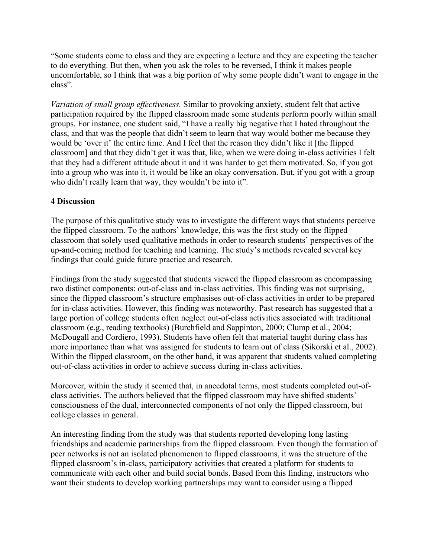"Some students come to class and they are expecting a lecture and they are expecting the teacher to do everything. But then, when you ask the roles to be reversed, I think it makes people uncomfortable, so I think that was a big portion of why some people didn't want to engage in the class".

*Variation of small group effectiveness.* Similar to provoking anxiety, student felt that active participation required by the flipped classroom made some students perform poorly within small groups. For instance, one student said, "I have a really big negative that I hated throughout the class, and that was the people that didn't seem to learn that way would bother me because they would be 'over it' the entire time. And I feel that the reason they didn't like it [the flipped classroom] and that they didn't get it was that, like, when we were doing in-class activities I felt that they had a different attitude about it and it was harder to get them motivated. So, if you got into a group who was into it, it would be like an okay conversation. But, if you got with a group who didn't really learn that way, they wouldn't be into it".

#### **4 Discussion**

The purpose of this qualitative study was to investigate the different ways that students perceive the flipped classroom. To the authors' knowledge, this was the first study on the flipped classroom that solely used qualitative methods in order to research students' perspectives of the up-and-coming method for teaching and learning. The study's methods revealed several key findings that could guide future practice and research.

Findings from the study suggested that students viewed the flipped classroom as encompassing two distinct components: out-of-class and in-class activities. This finding was not surprising, since the flipped classroom's structure emphasises out-of-class activities in order to be prepared for in-class activities. However, this finding was noteworthy. Past research has suggested that a large portion of college students often neglect out-of-class activities associated with traditional classroom (e.g., reading textbooks) (Burchfield and Sappinton, 2000; Clump et al., 2004; McDougall and Cordiero, 1993). Students have often felt that material taught during class has more importance than what was assigned for students to learn out of class (Sikorski et al., 2002). Within the flipped classroom, on the other hand, it was apparent that students valued completing out-of-class activities in order to achieve success during in-class activities.

Moreover, within the study it seemed that, in anecdotal terms, most students completed out-ofclass activities. The authors believed that the flipped classroom may have shifted students' consciousness of the dual, interconnected components of not only the flipped classroom, but college classes in general.

An interesting finding from the study was that students reported developing long lasting friendships and academic partnerships from the flipped classroom. Even though the formation of peer networks is not an isolated phenomenon to flipped classrooms, it was the structure of the flipped classroom's in-class, participatory activities that created a platform for students to communicate with each other and build social bonds. Based from this finding, instructors who want their students to develop working partnerships may want to consider using a flipped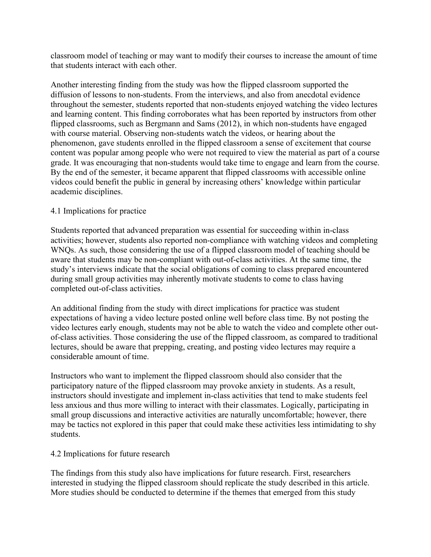classroom model of teaching or may want to modify their courses to increase the amount of time that students interact with each other.

Another interesting finding from the study was how the flipped classroom supported the diffusion of lessons to non-students. From the interviews, and also from anecdotal evidence throughout the semester, students reported that non-students enjoyed watching the video lectures and learning content. This finding corroborates what has been reported by instructors from other flipped classrooms, such as Bergmann and Sams (2012), in which non-students have engaged with course material. Observing non-students watch the videos, or hearing about the phenomenon, gave students enrolled in the flipped classroom a sense of excitement that course content was popular among people who were not required to view the material as part of a course grade. It was encouraging that non-students would take time to engage and learn from the course. By the end of the semester, it became apparent that flipped classrooms with accessible online videos could benefit the public in general by increasing others' knowledge within particular academic disciplines.

#### 4.1 Implications for practice

Students reported that advanced preparation was essential for succeeding within in-class activities; however, students also reported non-compliance with watching videos and completing WNQs. As such, those considering the use of a flipped classroom model of teaching should be aware that students may be non-compliant with out-of-class activities. At the same time, the study's interviews indicate that the social obligations of coming to class prepared encountered during small group activities may inherently motivate students to come to class having completed out-of-class activities.

An additional finding from the study with direct implications for practice was student expectations of having a video lecture posted online well before class time. By not posting the video lectures early enough, students may not be able to watch the video and complete other outof-class activities. Those considering the use of the flipped classroom, as compared to traditional lectures, should be aware that prepping, creating, and posting video lectures may require a considerable amount of time.

Instructors who want to implement the flipped classroom should also consider that the participatory nature of the flipped classroom may provoke anxiety in students. As a result, instructors should investigate and implement in-class activities that tend to make students feel less anxious and thus more willing to interact with their classmates. Logically, participating in small group discussions and interactive activities are naturally uncomfortable; however, there may be tactics not explored in this paper that could make these activities less intimidating to shy students.

#### 4.2 Implications for future research

The findings from this study also have implications for future research. First, researchers interested in studying the flipped classroom should replicate the study described in this article. More studies should be conducted to determine if the themes that emerged from this study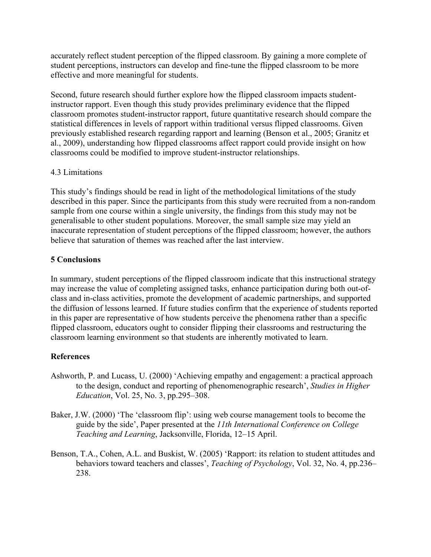accurately reflect student perception of the flipped classroom. By gaining a more complete of student perceptions, instructors can develop and fine-tune the flipped classroom to be more effective and more meaningful for students.

Second, future research should further explore how the flipped classroom impacts studentinstructor rapport. Even though this study provides preliminary evidence that the flipped classroom promotes student-instructor rapport, future quantitative research should compare the statistical differences in levels of rapport within traditional versus flipped classrooms. Given previously established research regarding rapport and learning (Benson et al., 2005; Granitz et al., 2009), understanding how flipped classrooms affect rapport could provide insight on how classrooms could be modified to improve student-instructor relationships.

# 4.3 Limitations

This study's findings should be read in light of the methodological limitations of the study described in this paper. Since the participants from this study were recruited from a non-random sample from one course within a single university, the findings from this study may not be generalisable to other student populations. Moreover, the small sample size may yield an inaccurate representation of student perceptions of the flipped classroom; however, the authors believe that saturation of themes was reached after the last interview.

#### **5 Conclusions**

In summary, student perceptions of the flipped classroom indicate that this instructional strategy may increase the value of completing assigned tasks, enhance participation during both out-ofclass and in-class activities, promote the development of academic partnerships, and supported the diffusion of lessons learned. If future studies confirm that the experience of students reported in this paper are representative of how students perceive the phenomena rather than a specific flipped classroom, educators ought to consider flipping their classrooms and restructuring the classroom learning environment so that students are inherently motivated to learn.

# **References**

- Ashworth, P. and Lucass, U. (2000) 'Achieving empathy and engagement: a practical approach to the design, conduct and reporting of phenomenographic research', *Studies in Higher Education*, Vol. 25, No. 3, pp.295–308.
- Baker, J.W. (2000) 'The 'classroom flip': using web course management tools to become the guide by the side', Paper presented at the *11th International Conference on College Teaching and Learning*, Jacksonville, Florida, 12–15 April.
- Benson, T.A., Cohen, A.L. and Buskist, W. (2005) 'Rapport: its relation to student attitudes and behaviors toward teachers and classes', *Teaching of Psychology*, Vol. 32, No. 4, pp.236– 238.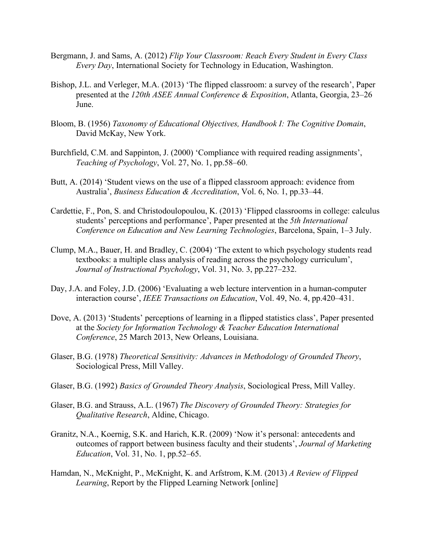- Bergmann, J. and Sams, A. (2012) *Flip Your Classroom: Reach Every Student in Every Class Every Day*, International Society for Technology in Education, Washington.
- Bishop, J.L. and Verleger, M.A. (2013) 'The flipped classroom: a survey of the research', Paper presented at the *120th ASEE Annual Conference & Exposition*, Atlanta, Georgia, 23–26 June.
- Bloom, B. (1956) *Taxonomy of Educational Objectives, Handbook I: The Cognitive Domain*, David McKay, New York.
- Burchfield, C.M. and Sappinton, J. (2000) 'Compliance with required reading assignments', *Teaching of Psychology*, Vol. 27, No. 1, pp.58–60.
- Butt, A. (2014) 'Student views on the use of a flipped classroom approach: evidence from Australia', *Business Education & Accreditation*, Vol. 6, No. 1, pp.33–44.
- Cardettie, F., Pon, S. and Christodoulopoulou, K. (2013) 'Flipped classrooms in college: calculus students' perceptions and performance', Paper presented at the *5th International Conference on Education and New Learning Technologies*, Barcelona, Spain, 1–3 July.
- Clump, M.A., Bauer, H. and Bradley, C. (2004) 'The extent to which psychology students read textbooks: a multiple class analysis of reading across the psychology curriculum', *Journal of Instructional Psychology*, Vol. 31, No. 3, pp.227–232.
- Day, J.A. and Foley, J.D. (2006) 'Evaluating a web lecture intervention in a human-computer interaction course', *IEEE Transactions on Education*, Vol. 49, No. 4, pp.420–431.
- Dove, A. (2013) 'Students' perceptions of learning in a flipped statistics class', Paper presented at the *Society for Information Technology & Teacher Education International Conference*, 25 March 2013, New Orleans, Louisiana.
- Glaser, B.G. (1978) *Theoretical Sensitivity: Advances in Methodology of Grounded Theory*, Sociological Press, Mill Valley.
- Glaser, B.G. (1992) *Basics of Grounded Theory Analysis*, Sociological Press, Mill Valley.
- Glaser, B.G. and Strauss, A.L. (1967) *The Discovery of Grounded Theory: Strategies for Qualitative Research*, Aldine, Chicago.
- Granitz, N.A., Koernig, S.K. and Harich, K.R. (2009) 'Now it's personal: antecedents and outcomes of rapport between business faculty and their students', *Journal of Marketing Education*, Vol. 31, No. 1, pp.52–65.
- Hamdan, N., McKnight, P., McKnight, K. and Arfstrom, K.M. (2013) *A Review of Flipped Learning*, Report by the Flipped Learning Network [online]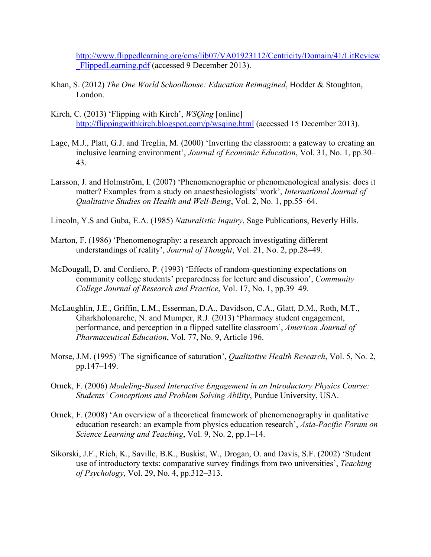[http://www.flippedlearning.org/cms/lib07/VA01923112/Centricity/Domain/41/LitReview](http://www.flippedlearning.org/cms/lib07/VA01923112/Centricity/Domain/41/LitReview_FlippedLearning.pdf) FlippedLearning.pdf (accessed 9 December 2013).

- Khan, S. (2012) *The One World Schoolhouse: Education Reimagined*, Hodder & Stoughton, London.
- Kirch, C. (2013) 'Flipping with Kirch', *WSQing* [online] <http://flippingwithkirch.blogspot.com/p/wsqing.html> (accessed 15 December 2013).
- Lage, M.J., Platt, G.J. and Treglia, M. (2000) 'Inverting the classroom: a gateway to creating an inclusive learning environment', *Journal of Economic Education*, Vol. 31, No. 1, pp.30– 43.
- Larsson, J. and Holmström, I. (2007) 'Phenomenographic or phenomenological analysis: does it matter? Examples from a study on anaesthesiologists' work', *International Journal of Qualitative Studies on Health and Well-Being*, Vol. 2, No. 1, pp.55–64.
- Lincoln, Y.S and Guba, E.A. (1985) *Naturalistic Inquiry*, Sage Publications, Beverly Hills.
- Marton, F. (1986) 'Phenomenography: a research approach investigating different understandings of reality', *Journal of Thought*, Vol. 21, No. 2, pp.28–49.
- McDougall, D. and Cordiero, P. (1993) 'Effects of random-questioning expectations on community college students' preparedness for lecture and discussion', *Community College Journal of Research and Practice*, Vol. 17, No. 1, pp.39–49.
- McLaughlin, J.E., Griffin, L.M., Esserman, D.A., Davidson, C.A., Glatt, D.M., Roth, M.T., Gharkholonarehe, N. and Mumper, R.J. (2013) 'Pharmacy student engagement, performance, and perception in a flipped satellite classroom', *American Journal of Pharmaceutical Education*, Vol. 77, No. 9, Article 196.
- Morse, J.M. (1995) 'The significance of saturation', *Qualitative Health Research*, Vol. 5, No. 2, pp.147–149.
- Ornek, F. (2006) *Modeling-Based Interactive Engagement in an Introductory Physics Course: Students' Conceptions and Problem Solving Ability*, Purdue University, USA.
- Ornek, F. (2008) 'An overview of a theoretical framework of phenomenography in qualitative education research: an example from physics education research', *Asia-Pacific Forum on Science Learning and Teaching*, Vol. 9, No. 2, pp.1–14.
- Sikorski, J.F., Rich, K., Saville, B.K., Buskist, W., Drogan, O. and Davis, S.F. (2002) 'Student use of introductory texts: comparative survey findings from two universities', *Teaching of Psychology*, Vol. 29, No. 4, pp.312–313.